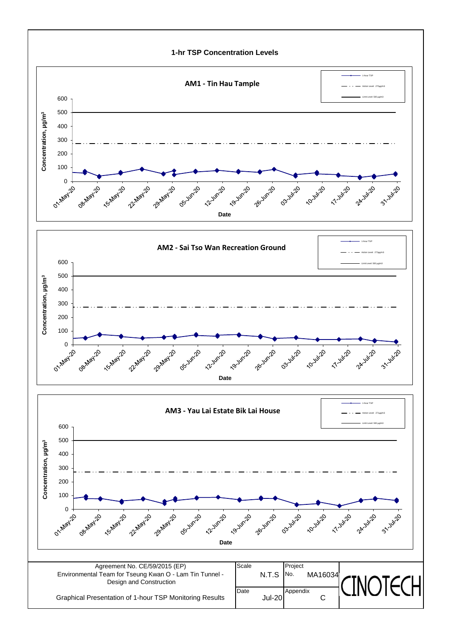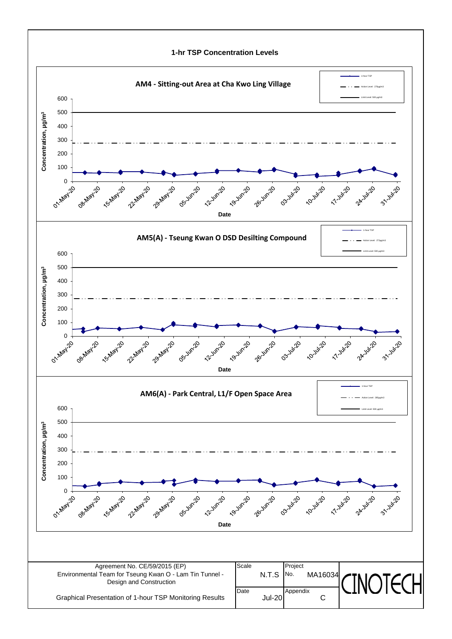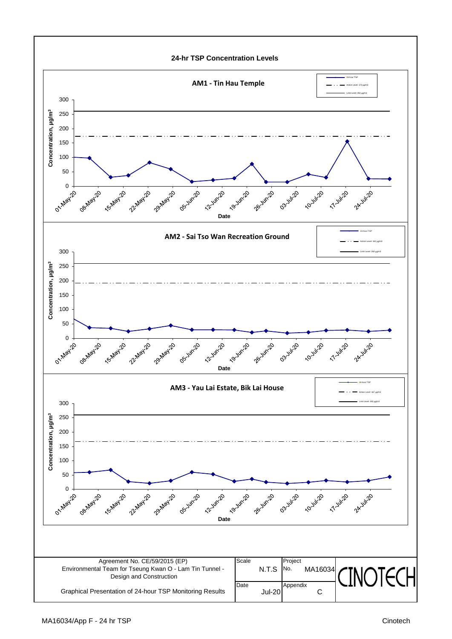